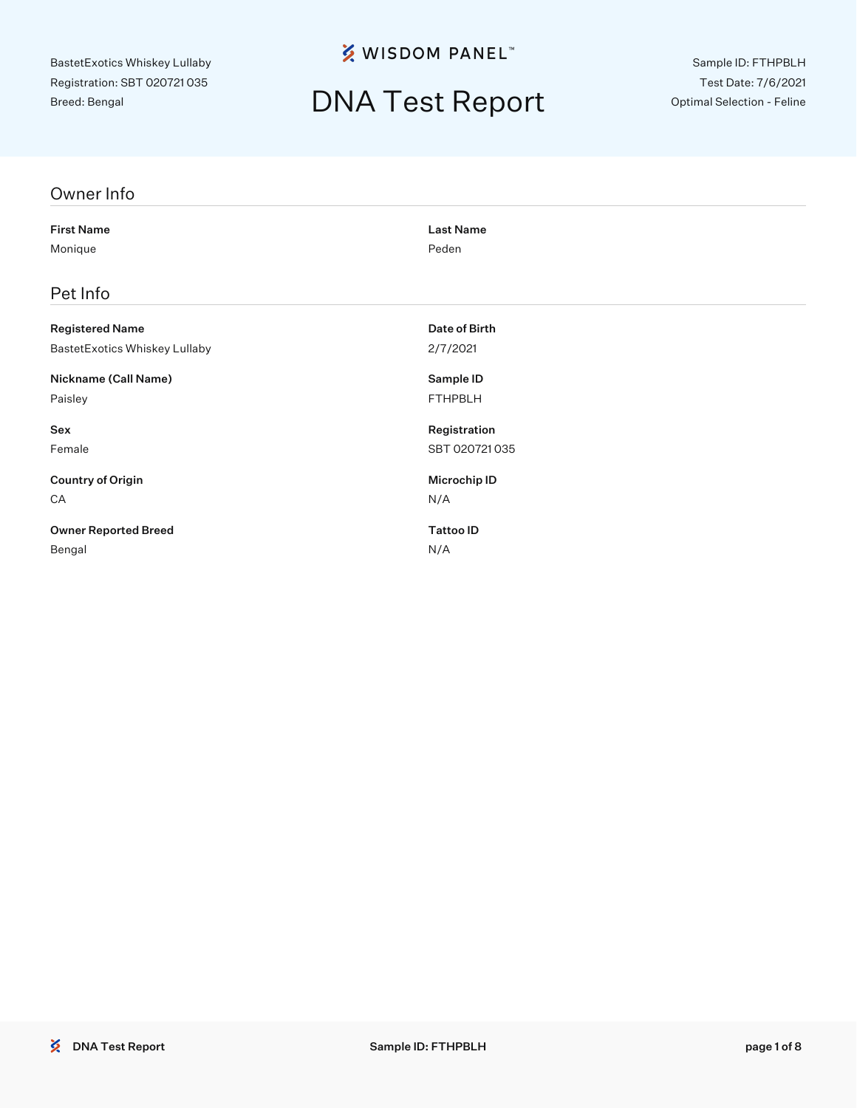**※ WISDOM PANEL**™

## DNA Test Report

Sample ID: FTHPBLH Test Date: 7/6/2021 Optimal Selection - Feline

| Owner Info                    |                  |
|-------------------------------|------------------|
| <b>First Name</b>             | <b>Last Name</b> |
| Monique                       | Peden            |
| Pet Info                      |                  |
| <b>Registered Name</b>        | Date of Birth    |
| BastetExotics Whiskey Lullaby | 2/7/2021         |
| Nickname (Call Name)          | Sample ID        |
| Paisley                       | <b>FTHPBLH</b>   |
| Sex                           | Registration     |
| Female                        | SBT 020721035    |
| <b>Country of Origin</b>      | Microchip ID     |
| CA                            | N/A              |
| <b>Owner Reported Breed</b>   | <b>Tattoo ID</b> |
| Bengal                        | N/A              |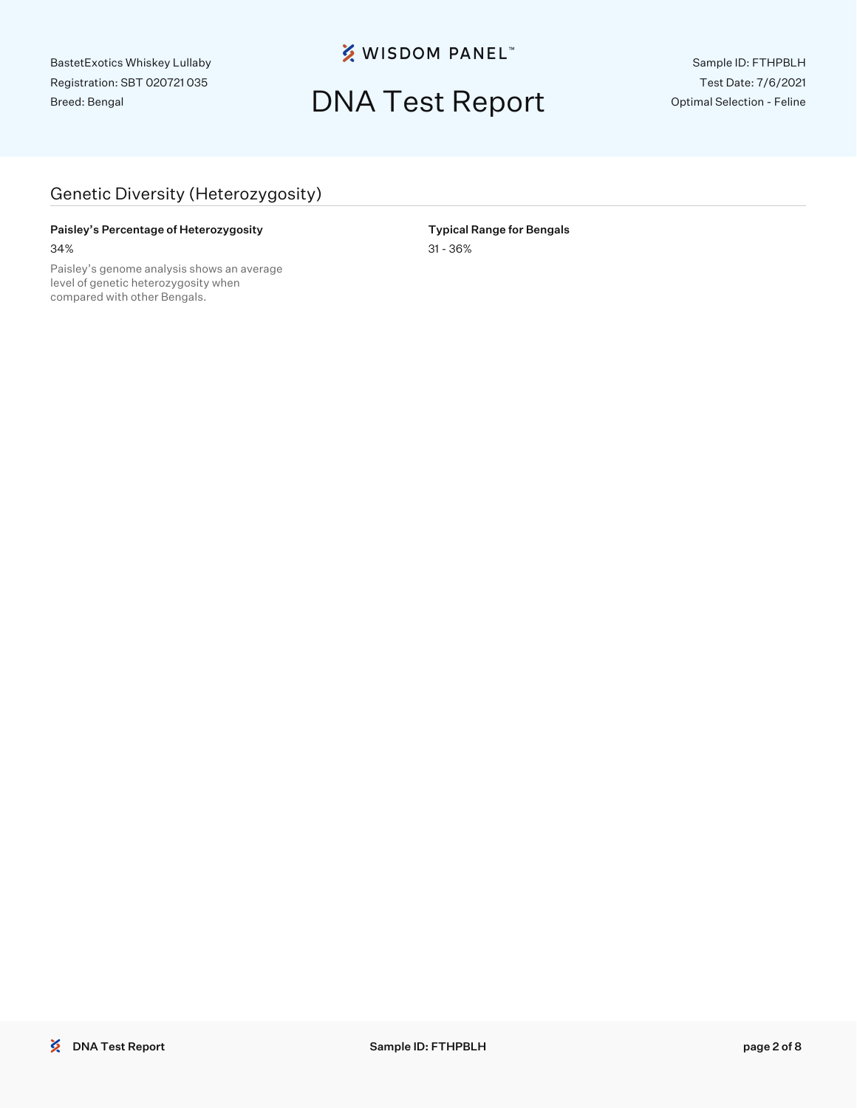**※ WISDOM PANEL**™

## DNA Test Report

Sample ID: FTHPBLH Test Date: 7/6/2021 Optimal Selection - Feline

### Genetic Diversity (Heterozygosity)

#### Paisley's Percentage of Heterozygosity **Typical Range for Bengals** 34% 31 - 36%

Paisley's genome analysis shows an average level of genetic heterozygosity when compared with other Bengals.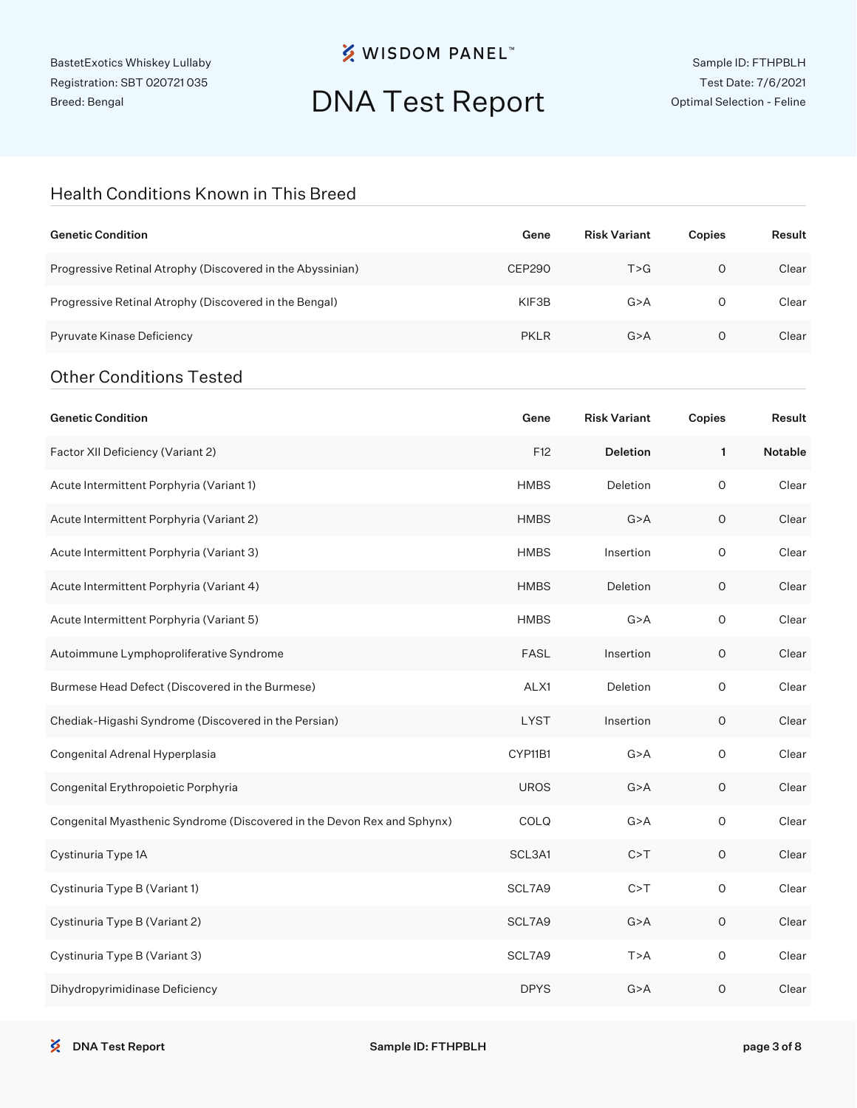## **※ WISDOM PANEL**™

## DNA Test Report

#### Health Conditions Known in This Breed

| <b>Genetic Condition</b>                                                | Gene          | <b>Risk Variant</b> | Copies      | Result  |
|-------------------------------------------------------------------------|---------------|---------------------|-------------|---------|
| Progressive Retinal Atrophy (Discovered in the Abyssinian)              | <b>CEP290</b> | T > G               | $\circ$     | Clear   |
| Progressive Retinal Atrophy (Discovered in the Bengal)                  | KIF3B         | G > A               | 0           | Clear   |
| Pyruvate Kinase Deficiency                                              | <b>PKLR</b>   | G > A               | 0           | Clear   |
| <b>Other Conditions Tested</b>                                          |               |                     |             |         |
| <b>Genetic Condition</b>                                                | Gene          | <b>Risk Variant</b> | Copies      | Result  |
| Factor XII Deficiency (Variant 2)                                       | F12           | <b>Deletion</b>     | 1           | Notable |
| Acute Intermittent Porphyria (Variant 1)                                | <b>HMBS</b>   | Deletion            | $\circ$     | Clear   |
| Acute Intermittent Porphyria (Variant 2)                                | <b>HMBS</b>   | G > A               | $\mathsf O$ | Clear   |
| Acute Intermittent Porphyria (Variant 3)                                | <b>HMBS</b>   | Insertion           | $\circ$     | Clear   |
| Acute Intermittent Porphyria (Variant 4)                                | <b>HMBS</b>   | Deletion            | 0           | Clear   |
| Acute Intermittent Porphyria (Variant 5)                                | <b>HMBS</b>   | G > A               | $\circ$     | Clear   |
| Autoimmune Lymphoproliferative Syndrome                                 | <b>FASL</b>   | Insertion           | 0           | Clear   |
| Burmese Head Defect (Discovered in the Burmese)                         | ALX1          | Deletion            | $\circ$     | Clear   |
| Chediak-Higashi Syndrome (Discovered in the Persian)                    | <b>LYST</b>   | Insertion           | 0           | Clear   |
| Congenital Adrenal Hyperplasia                                          | CYP11B1       | G > A               | $\circ$     | Clear   |
| Congenital Erythropoietic Porphyria                                     | <b>UROS</b>   | G > A               | O           | Clear   |
| Congenital Myasthenic Syndrome (Discovered in the Devon Rex and Sphynx) | COLQ          | G > A               | O           | Clear   |
| Cystinuria Type 1A                                                      | SCL3A1        | C > T               | $\mathsf O$ | Clear   |
| Cystinuria Type B (Variant 1)                                           | SCL7A9        | C > T               | $\mathsf O$ | Clear   |
| Cystinuria Type B (Variant 2)                                           | SCL7A9        | G > A               | $\mathsf O$ | Clear   |
| Cystinuria Type B (Variant 3)                                           | SCL7A9        | T > A               | $\mathsf O$ | Clear   |
| Dihydropyrimidinase Deficiency                                          | <b>DPYS</b>   | G > A               | $\mathsf O$ | Clear   |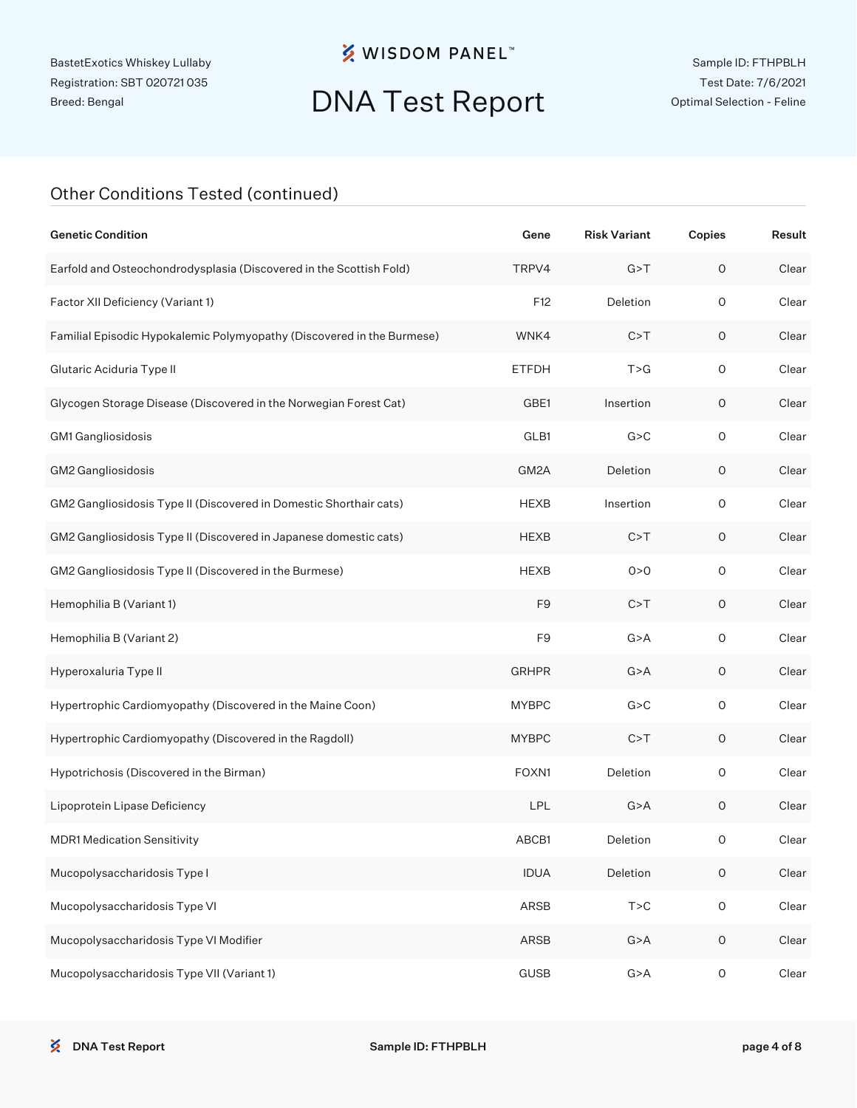## **※ WISDOM PANEL**™

## DNA Test Report

#### Other Conditions Tested (continued)

| <b>Genetic Condition</b>                                               | Gene           | <b>Risk Variant</b> | Copies              | Result |
|------------------------------------------------------------------------|----------------|---------------------|---------------------|--------|
| Earfold and Osteochondrodysplasia (Discovered in the Scottish Fold)    | TRPV4          | G > T               | $\mathsf O$         | Clear  |
| Factor XII Deficiency (Variant 1)                                      | F12            | Deletion            | $\circ$             | Clear  |
| Familial Episodic Hypokalemic Polymyopathy (Discovered in the Burmese) | WNK4           | C > T               | $\mathsf O$         | Clear  |
| Glutaric Aciduria Type II                                              | <b>ETFDH</b>   | T > G               | $\mathsf O$         | Clear  |
| Glycogen Storage Disease (Discovered in the Norwegian Forest Cat)      | GBE1           | Insertion           | 0                   | Clear  |
| GM1 Gangliosidosis                                                     | GLB1           | G > C               | $\mathsf{O}\xspace$ | Clear  |
| GM2 Gangliosidosis                                                     | GM2A           | Deletion            | 0                   | Clear  |
| GM2 Gangliosidosis Type II (Discovered in Domestic Shorthair cats)     | <b>HEXB</b>    | Insertion           | $\mathsf O$         | Clear  |
| GM2 Gangliosidosis Type II (Discovered in Japanese domestic cats)      | <b>HEXB</b>    | C > T               | 0                   | Clear  |
| GM2 Gangliosidosis Type II (Discovered in the Burmese)                 | <b>HEXB</b>    | 0 > 0               | $\mathsf{O}\xspace$ | Clear  |
| Hemophilia B (Variant 1)                                               | F <sub>9</sub> | C > T               | $\mathsf O$         | Clear  |
| Hemophilia B (Variant 2)                                               | F <sub>9</sub> | G > A               | $\mathsf O$         | Clear  |
| Hyperoxaluria Type II                                                  | <b>GRHPR</b>   | G > A               | 0                   | Clear  |
| Hypertrophic Cardiomyopathy (Discovered in the Maine Coon)             | <b>MYBPC</b>   | G > C               | $\mathsf O$         | Clear  |
| Hypertrophic Cardiomyopathy (Discovered in the Ragdoll)                | <b>MYBPC</b>   | C > T               | $\mathsf O$         | Clear  |
| Hypotrichosis (Discovered in the Birman)                               | FOXN1          | Deletion            | $\mathsf O$         | Clear  |
| Lipoprotein Lipase Deficiency                                          | LPL            | G > A               | $\mathsf O$         | Clear  |
| <b>MDR1 Medication Sensitivity</b>                                     | ABCB1          | Deletion            | 0                   | Clear  |
| Mucopolysaccharidosis Type I                                           | <b>IDUA</b>    | Deletion            | $\mathsf O$         | Clear  |
| Mucopolysaccharidosis Type VI                                          | ARSB           | T > C               | $\mathsf O$         | Clear  |
| Mucopolysaccharidosis Type VI Modifier                                 | ARSB           | G > A               | $\mathsf O$         | Clear  |
| Mucopolysaccharidosis Type VII (Variant 1)                             | <b>GUSB</b>    | G > A               | $\mathsf{O}\xspace$ | Clear  |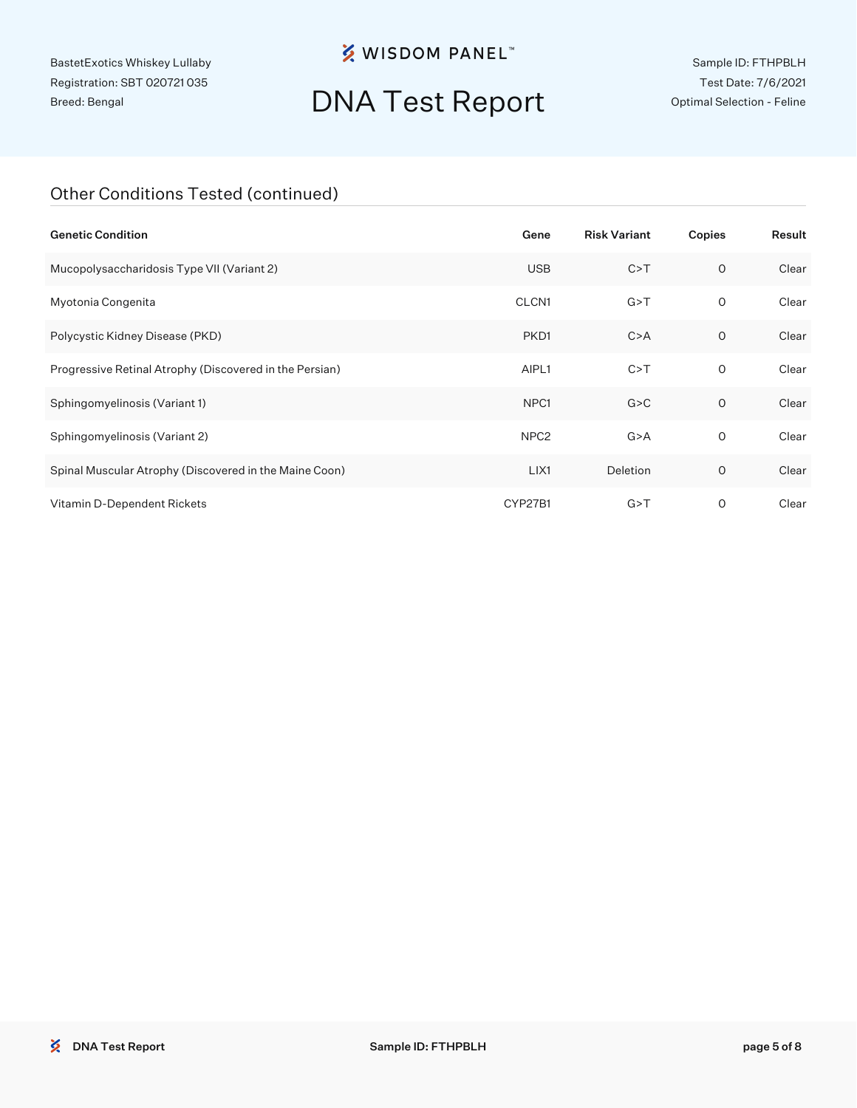## **※ WISDOM PANEL**™

## DNA Test Report

Sample ID: FTHPBLH Test Date: 7/6/2021 Optimal Selection - Feline

#### Other Conditions Tested (continued)

| <b>Genetic Condition</b>                                | Gene             | <b>Risk Variant</b> | Copies       | Result |
|---------------------------------------------------------|------------------|---------------------|--------------|--------|
| Mucopolysaccharidosis Type VII (Variant 2)              | <b>USB</b>       | C > T               | $\circ$      | Clear  |
| Myotonia Congenita                                      | CLCN1            | G > T               | 0            | Clear  |
| Polycystic Kidney Disease (PKD)                         | PKD1             | C > A               | 0            | Clear  |
| Progressive Retinal Atrophy (Discovered in the Persian) | AIPL1            | C > T               | $\mathsf{O}$ | Clear  |
| Sphingomyelinosis (Variant 1)                           | NPC <sub>1</sub> | G > C               | $\circ$      | Clear  |
| Sphingomyelinosis (Variant 2)                           | NPC <sub>2</sub> | G > A               | 0            | Clear  |
| Spinal Muscular Atrophy (Discovered in the Maine Coon)  | LIX1             | Deletion            | O            | Clear  |
| Vitamin D-Dependent Rickets                             | CYP27B1          | G > T               | O            | Clear  |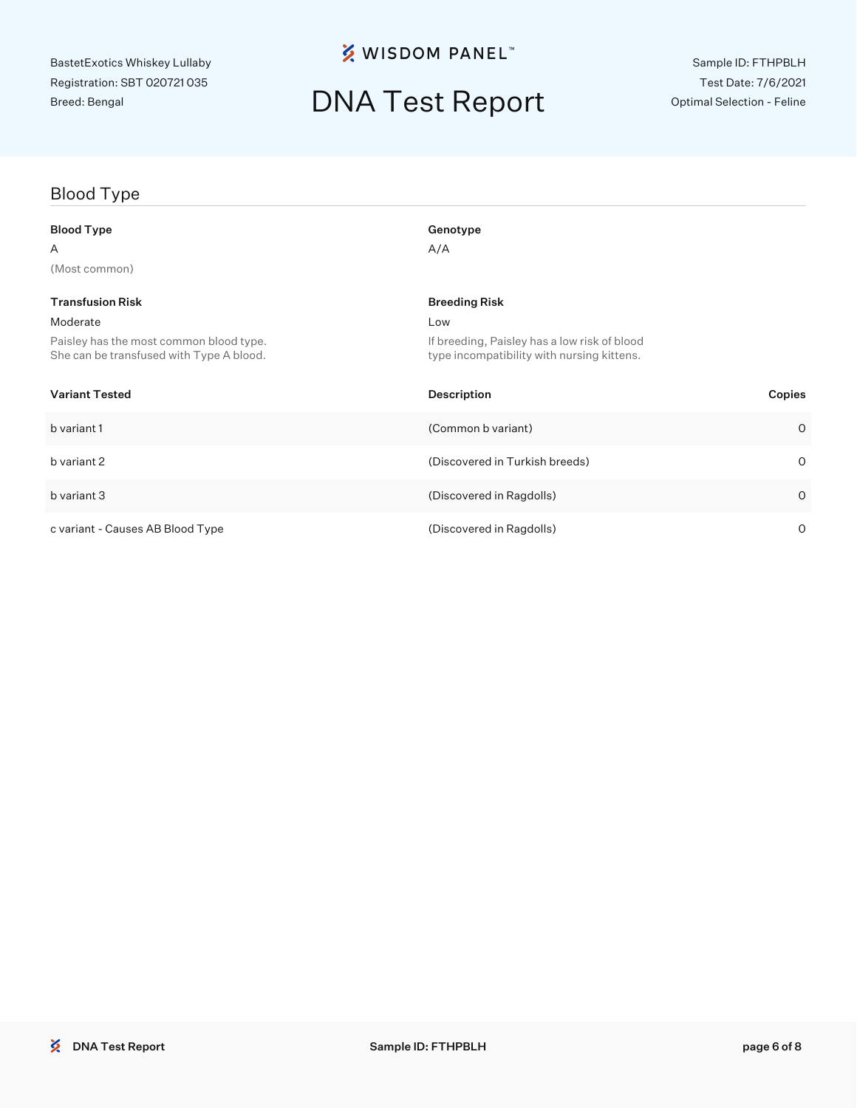### **※ WISDOM PANEL**™

## DNA Test Report

## Blood Type Blood Type Genotype Genotype  $A$  and  $A/A$ (Most common) **Transfusion Risk Breeding Risk Breeding Risk Breeding Risk** Breeding Risk Breeding Risk Moderate Low Paisley has the most common blood type. She can be transfused with Type A blood. If breeding, Paisley has a low risk of blood type incompatibility with nursing kittens. Variant Tested Description Copies b variant 1 (Common b variant) 0 b variant 2 (Discovered in Turkish breeds) 0 b variant 3 (Discovered in Ragdolls) 0 c variant - Causes AB Blood Type (Discovered in Ragdolls) 0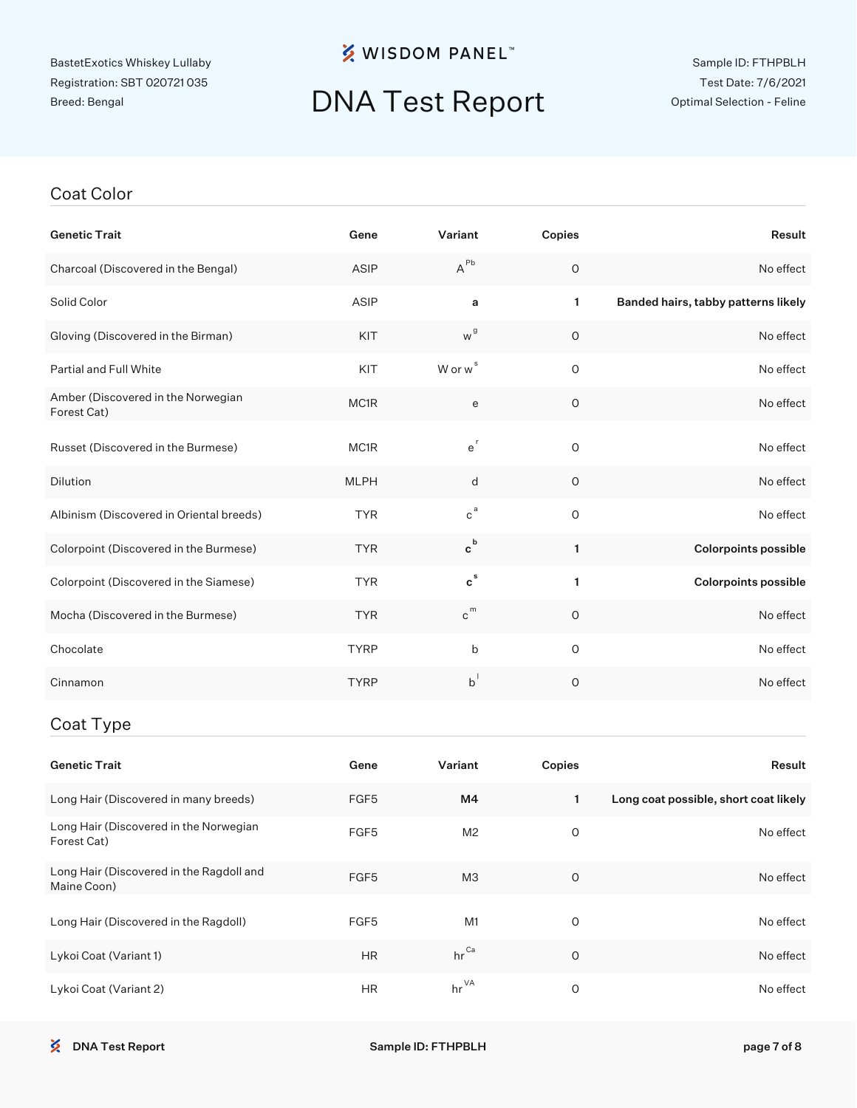## **※ WISDOM PANEL**™

## DNA Test Report

Sample ID: FTHPBLH Test Date: 7/6/2021 Optimal Selection - Feline

#### Coat Color

| <b>Genetic Trait</b>                              | Gene              | Variant                        | Copies       | Result                              |
|---------------------------------------------------|-------------------|--------------------------------|--------------|-------------------------------------|
| Charcoal (Discovered in the Bengal)               | ASIP              | $A^{Pb}$                       | $\circ$      | No effect                           |
| Solid Color                                       | ASIP              | a                              | $\mathbf{1}$ | Banded hairs, tabby patterns likely |
| Gloving (Discovered in the Birman)                | KIT               | w <sup>g</sup>                 | $\circ$      | No effect                           |
| <b>Partial and Full White</b>                     | KIT               | $W$ or $w^s$                   | $\circ$      | No effect                           |
| Amber (Discovered in the Norwegian<br>Forest Cat) | MC1R              | e                              | $\circ$      | No effect                           |
| Russet (Discovered in the Burmese)                | MC <sub>1</sub> R | $e^r$                          | $\circ$      | No effect                           |
| <b>Dilution</b>                                   | <b>MLPH</b>       | d                              | O            | No effect                           |
| Albinism (Discovered in Oriental breeds)          | <b>TYR</b>        | $c^a$                          | $\circ$      | No effect                           |
| Colorpoint (Discovered in the Burmese)            | <b>TYR</b>        | $\mathtt{c}^{\mathtt{b}}$      | 1            | <b>Colorpoints possible</b>         |
| Colorpoint (Discovered in the Siamese)            | <b>TYR</b>        | $c^s$                          | 1            | <b>Colorpoints possible</b>         |
| Mocha (Discovered in the Burmese)                 | <b>TYR</b>        | $\hbox{c}^{\hbox{\tiny\rm m}}$ | 0            | No effect                           |
| Chocolate                                         | <b>TYRP</b>       | b                              | $\circ$      | No effect                           |
| Cinnamon                                          | <b>TYRP</b>       | $b^{\dagger}$                  | $\mathsf O$  | No effect                           |
|                                                   |                   |                                |              |                                     |

#### Coat Type

| <b>Genetic Trait</b>                                    | Gene             | Variant          | Copies  | Result                                |
|---------------------------------------------------------|------------------|------------------|---------|---------------------------------------|
| Long Hair (Discovered in many breeds)                   | FGF <sub>5</sub> | M4               |         | Long coat possible, short coat likely |
| Long Hair (Discovered in the Norwegian<br>Forest Cat)   | FGF <sub>5</sub> | M <sub>2</sub>   | O       | No effect                             |
| Long Hair (Discovered in the Ragdoll and<br>Maine Coon) | FGF <sub>5</sub> | M <sub>3</sub>   | $\circ$ | No effect                             |
| Long Hair (Discovered in the Ragdoll)                   | FGF <sub>5</sub> | M1               | O       | No effect                             |
| Lykoi Coat (Variant 1)                                  | <b>HR</b>        | $hr^{\text{Ca}}$ | $\circ$ | No effect                             |
| Lykoi Coat (Variant 2)                                  | <b>HR</b>        | $hr^{\vee A}$    | O       | No effect                             |